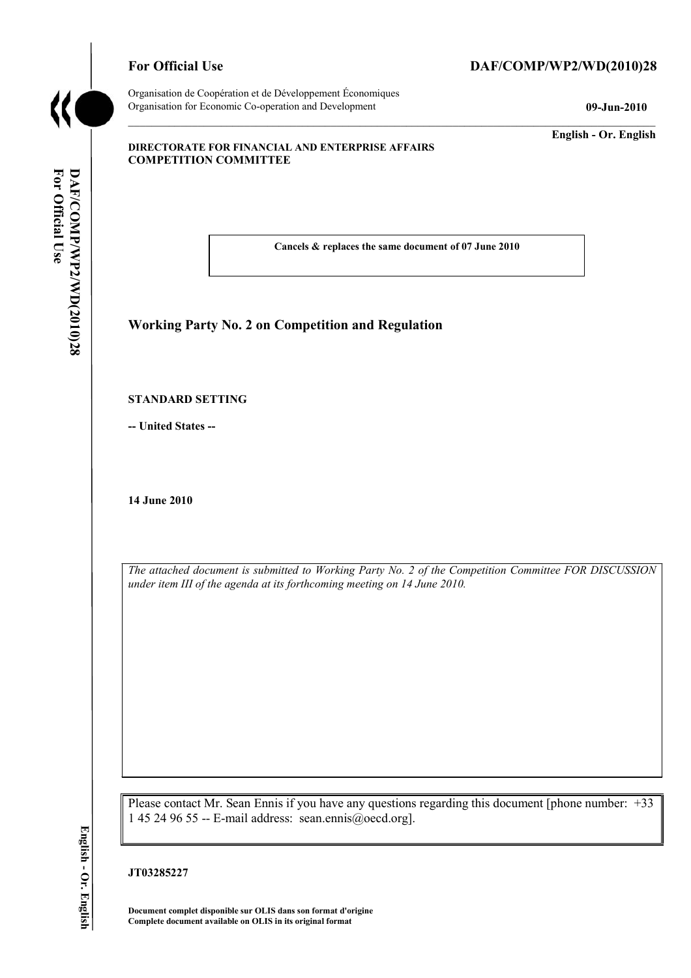

**For Official DAF/COM** For Official Use

DAF/COMP/WP2/WD(2010)28

Organisation de Coopération et de Développement Économiques Organisation for Economic Co-operation and Development **09-Jun-2010** 

# For Official Use DAF/COMP/WP2/WD(2010)28

**English - Or. English** 

#### **DIRECTORATE FOR FINANCIAL AND ENTERPRISE AFFAIRS COMPETITION COMMITTEE**

 **Cancels & replaces the same document of 07 June 2010** 

## **Working Party No. 2 on Competition and Regulation**

#### **STANDARD SETTING**

**-- United States --**

**14 June 2010** 

*The attached document is submitted to Working Party No. 2 of the Competition Committee FOR DISCUSSION under item III of the agenda at its forthcoming meeting on 14 June 2010.* 

Please contact Mr. Sean Ennis if you have any questions regarding this document [phone number: +33 1 45 24 96 55 -- E-mail address: sean.ennis@oecd.org].

## **JT03285227**

 **Document complet disponible sur OLIS dans son format d'origine Complete document available on OLIS in its original format**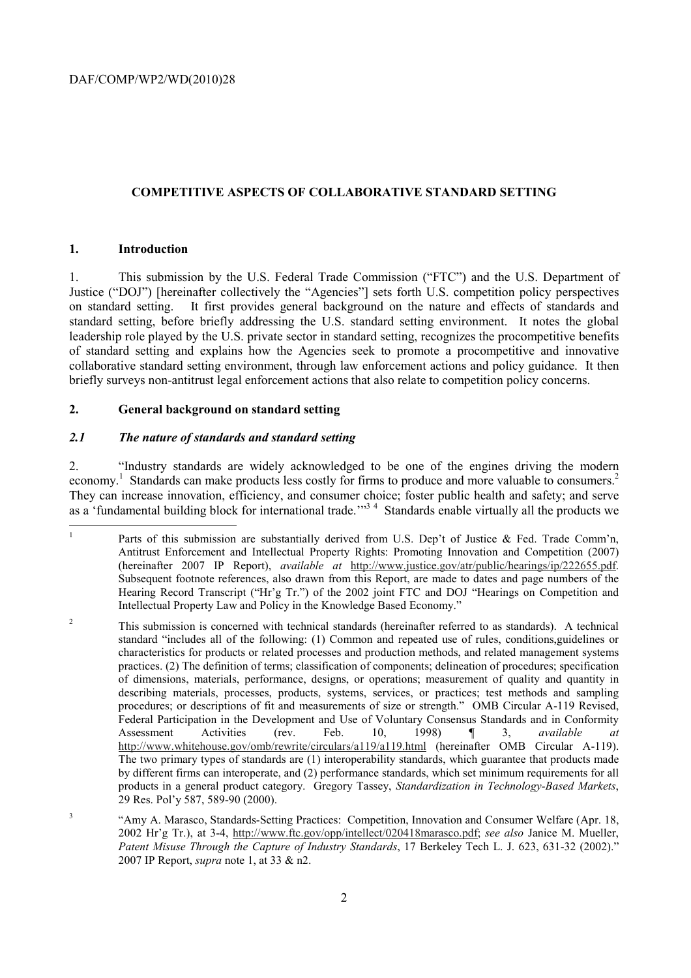## **COMPETITIVE ASPECTS OF COLLABORATIVE STANDARD SETTING**

## **1. Introduction**

on standard setting. 1. This submission by the U.S. Federal Trade Commission ("FTC") and the U.S. Department of Justice ("DOJ") [hereinafter collectively the "Agencies"] sets forth U.S. competition policy perspectives It first provides general background on the nature and effects of standards and standard setting, before briefly addressing the U.S. standard setting environment. It notes the global leadership role played by the U.S. private sector in standard setting, recognizes the procompetitive benefits of standard setting and explains how the Agencies seek to promote a procompetitive and innovative collaborative standard setting environment, through law enforcement actions and policy guidance. It then briefly surveys non-antitrust legal enforcement actions that also relate to competition policy concerns.

## **2. General background on standard setting**

## *2.1 The nature of standards and standard setting*

economy.<sup>1</sup> Standards can make products less costly for firms to produce and more valuable to consumers.<sup>2</sup> 2. "Industry standards are widely acknowledged to be one of the engines driving the modern They can increase innovation, efficiency, and consumer choice; foster public health and safety; and serve as a 'fundamental building block for international trade.'<sup>33</sup> 4 Standards enable virtually all the products we

 Subsequent footnote references, also drawn from this Report, are made to dates and page numbers of the Parts of this submission are substantially derived from U.S. Dep't of Justice & Fed. Trade Comm'n, Antitrust Enforcement and Intellectual Property Rights: Promoting Innovation and Competition (2007) (hereinafter 2007 IP Report), *available at* http://www.justice.gov/atr/public/hearings/ip/222655.pdf. Hearing Record Transcript ("Hr'g Tr.") of the 2002 joint FTC and DOJ "Hearings on Competition and Intellectual Property Law and Policy in the Knowledge Based Economy."

 $\overline{c}$  Federal Participation in the Development and Use of Voluntary Consensus Standards and in Conformity http://www.whitehouse.gov/omb/rewrite/circulars/a119/a119.html (hereinafter OMB Circular A-119). by different firms can interoperate, and (2) performance standards, which set minimum requirements for all 2 This submission is concerned with technical standards (hereinafter referred to as standards). A technical standard "includes all of the following: (1) Common and repeated use of rules, conditions,guidelines or characteristics for products or related processes and production methods, and related management systems practices. (2) The definition of terms; classification of components; delineation of procedures; specification of dimensions, materials, performance, designs, or operations; measurement of quality and quantity in describing materials, processes, products, systems, services, or practices; test methods and sampling procedures; or descriptions of fit and measurements of size or strength." OMB Circular A-119 Revised, Assessment Activities (rev. Feb. 10, 1998) ¶ 3, *available at*  The two primary types of standards are (1) interoperability standards, which guarantee that products made products in a general product category. Gregory Tassey, *Standardization in Technology-Based Markets*, 29 Res. Pol'y 587, 589-90 (2000).

<sup>2007</sup> IP Report, *supra* note 1, at 33 & n2. <sup>3</sup> "Amy A. Marasco, Standards-Setting Practices: Competition, Innovation and Consumer Welfare (Apr. 18, 2002 Hr'g Tr.), at 3-4, http://www.ftc.gov/opp/intellect/020418marasco.pdf; *see also* Janice M. Mueller, *Patent Misuse Through the Capture of Industry Standards*, 17 Berkeley Tech L. J. 623, 631-32 (2002)."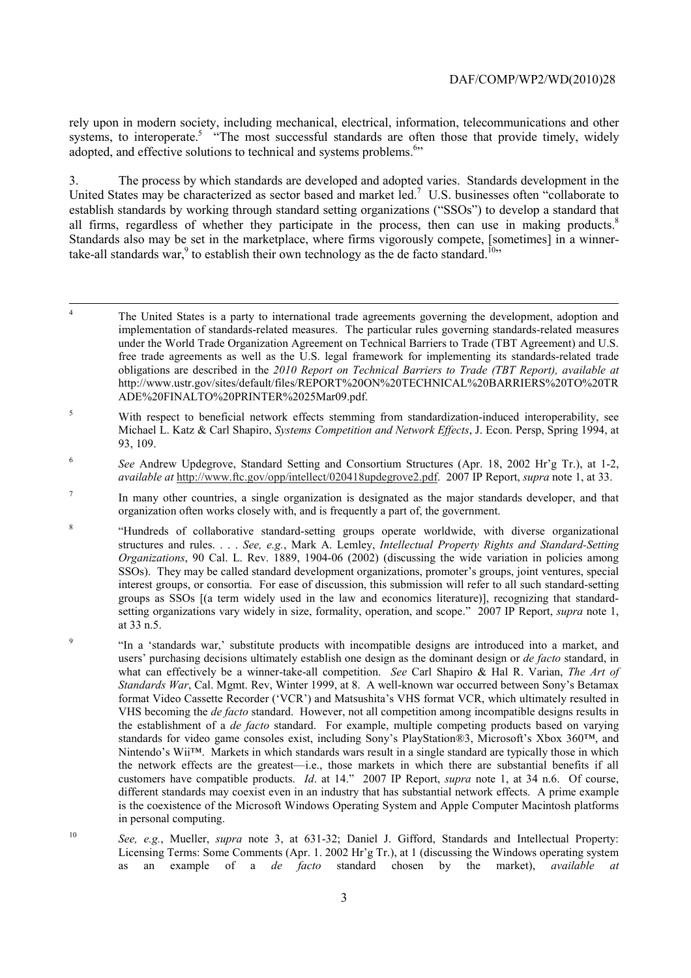rely upon in modern society, including mechanical, electrical, information, telecommunications and other systems, to interoperate.<sup>5</sup> "The most successful standards are often those that provide timely, widely adopted, and effective solutions to technical and systems problems.<sup>6</sup><sup>55</sup>

all firms, regardless of whether they participate in the process, then can use in making products.<sup>8</sup> 3. The process by which standards are developed and adopted varies. Standards development in the United States may be characterized as sector based and market led.<sup>7</sup> U.S. businesses often "collaborate to establish standards by working through standard setting organizations ("SSOs") to develop a standard that Standards also may be set in the marketplace, where firms vigorously compete, [sometimes] in a winnertake-all standards war,<sup>9</sup> to establish their own technology as the de facto standard.<sup>10</sup>"

1

5 With respect to beneficial network effects stemming from standardization-induced interoperability, see Michael L. Katz & Carl Shapiro, *Systems Competition and Network Effects*, J. Econ. Persp, Spring 1994, at 93, 109.

<sup>6</sup>*See* Andrew Updegrove, Standard Setting and Consortium Structures (Apr. 18, 2002 Hr'g Tr.), at 1-2, *available at* http://www.ftc.gov/opp/intellect/020418updegrove2.pdf. 2007 IP Report, *supra* note 1, at 33.

- organization often works closely with, and is frequently a part of, the government. <sup>7</sup> In many other countries, a single organization is designated as the major standards developer, and that
- groups as SSOs [(a term widely used in the law and economics literature)], recognizing that standard-8 "Hundreds of collaborative standard-setting groups operate worldwide, with diverse organizational structures and rules. . . . *See, e.g.*, Mark A. Lemley, *Intellectual Property Rights and Standard-Setting Organizations*, 90 Cal. L. Rev. 1889, 1904-06 (2002) (discussing the wide variation in policies among SSOs). They may be called standard development organizations, promoter's groups, joint ventures, special interest groups, or consortia. For ease of discussion, this submission will refer to all such standard-setting setting organizations vary widely in size, formality, operation, and scope." 2007 IP Report, *supra* note 1, at 33 n.5.
- what can effectively be a winner-take-all competition. *See* Carl Shapiro & Hal R. Varian, *The Art of Standards War*, Cal. Mgmt. Rev, Winter 1999, at 8. A well-known war occurred between Sony's Betamax standards for video game consoles exist, including Sony's PlayStation®3, Microsoft's Xbox 360™, and Nintendo's Wii™. Markets in which standards wars result in a single standard are typically those in which customers have compatible products. *Id*. at 14." 2007 IP Report, *supra* note 1, at 34 n.6. Of course, different standards may coexist even in an industry that has substantial network effects. A prime example <sup>9</sup> "In a 'standards war,' substitute products with incompatible designs are introduced into a market, and users' purchasing decisions ultimately establish one design as the dominant design or *de facto* standard, in format Video Cassette Recorder ('VCR') and Matsushita's VHS format VCR, which ultimately resulted in VHS becoming the *de facto* standard. However, not all competition among incompatible designs results in the establishment of a *de facto* standard. For example, multiple competing products based on varying the network effects are the greatest—i.e., those markets in which there are substantial benefits if all is the coexistence of the Microsoft Windows Operating System and Apple Computer Macintosh platforms in personal computing.
- Licensing Terms: Some Comments (Apr. 1. 2002 Hr'g Tr.), at 1 (discussing the Windows operating system <sup>10</sup>*See, e.g.*, Mueller, *supra* note 3, at 631-32; Daniel J. Gifford, Standards and Intellectual Property: as an example of a *de facto* standard chosen by the market), *available at*

 implementation of standards-related measures. The particular rules governing standards-related measures 4 The United States is a party to international trade agreements governing the development, adoption and under the World Trade Organization Agreement on Technical Barriers to Trade (TBT Agreement) and U.S. free trade agreements as well as the U.S. legal framework for implementing its standards-related trade obligations are described in the *2010 Report on Technical Barriers to Trade (TBT Report), available at*  http://www.ustr.gov/sites/default/files/REPORT%20ON%20TECHNICAL%20BARRIERS%20TO%20TR ADE%20FINALTO%20PRINTER%2025Mar09.pdf.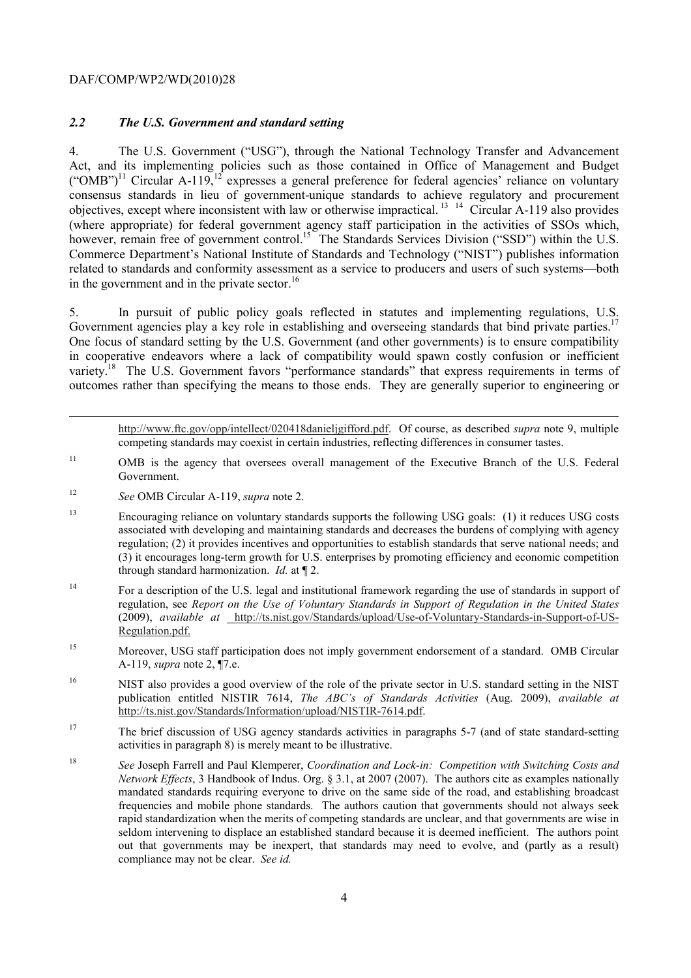## *2.2 The U.S. Government and standard setting*

objectives, except where inconsistent with law or otherwise impractical.<sup>13</sup> <sup>14</sup> Circular A-119 also provides however, remain free of government control.<sup>15</sup> The Standards Services Division ("SSD") within the U.S. in the government and in the private sector. $16$ 4. The U.S. Government ("USG"), through the National Technology Transfer and Advancement Act, and its implementing policies such as those contained in Office of Management and Budget  $({}^{\circ}$ OMB")<sup>11</sup> Circular A-119,<sup>12</sup> expresses a general preference for federal agencies' reliance on voluntary consensus standards in lieu of government-unique standards to achieve regulatory and procurement (where appropriate) for federal government agency staff participation in the activities of SSOs which, Commerce Department's National Institute of Standards and Technology ("NIST") publishes information related to standards and conformity assessment as a service to producers and users of such systems—both

Government agencies play a key role in establishing and overseeing standards that bind private parties.<sup>17</sup> 5. In pursuit of public policy goals reflected in statutes and implementing regulations, U.S. One focus of standard setting by the U.S. Government (and other governments) is to ensure compatibility in cooperative endeavors where a lack of compatibility would spawn costly confusion or inefficient variety.<sup>18</sup> The U.S. Government favors "performance standards" that express requirements in terms of outcomes rather than specifying the means to those ends. They are generally superior to engineering or

 http://www.ftc.gov/opp/intellect/020418danieljgifford.pdf. Of course, as described *supra* note 9, multiple competing standards may coexist in certain industries, reflecting differences in consumer tastes.

- $1\,1$ 11 OMB is the agency that oversees overall management of the Executive Branch of the U.S. Federal Government.
- <sup>12</sup>*See* OMB Circular A-119, *supra* note 2.

1

- $13$  associated with developing and maintaining standards and decreases the burdens of complying with agency regulation; (2) it provides incentives and opportunities to establish standards that serve national needs; and through standard harmonization. *Id.* at ¶ 2. 13 Encouraging reliance on voluntary standards supports the following USG goals: (1) it reduces USG costs (3) it encourages long-term growth for U.S. enterprises by promoting efficiency and economic competition
- (2009), *available at* http://ts.nist.gov/Standards/upload/Use-of-Voluntary-Standards-in-Support-of-US-<sup>14</sup> For a description of the U.S. legal and institutional framework regarding the use of standards in support of regulation, see *Report on the Use of Voluntary Standards in Support of Regulation in the United States*  Regulation.pdf.
- 15 Moreover, USG staff participation does not imply government endorsement of a standard. OMB Circular A-119, *supra* note 2, ¶7.e.
- 16 16 NIST also provides a good overview of the role of the private sector in U.S. standard setting in the NIST publication entitled NISTIR 7614, *The ABC's of Standards Activities* (Aug. 2009), *available at*  http://ts.nist.gov/Standards/Information/upload/NISTIR-7614.pdf.
- <sup>17</sup> The brief discussion of USG agency standards activities in paragraphs 5-7 (and of state standard-setting activities in paragraph 8) is merely meant to be illustrative.
- *Network Effects*, 3 Handbook of Indus. Org. § 3.1, at 2007 (2007). The authors cite as examples nationally <sup>18</sup>*See* Joseph Farrell and Paul Klemperer, *Coordination and Lock-in: Competition with Switching Costs and*  mandated standards requiring everyone to drive on the same side of the road, and establishing broadcast frequencies and mobile phone standards. The authors caution that governments should not always seek rapid standardization when the merits of competing standards are unclear, and that governments are wise in seldom intervening to displace an established standard because it is deemed inefficient. The authors point out that governments may be inexpert, that standards may need to evolve, and (partly as a result) compliance may not be clear. *See id.*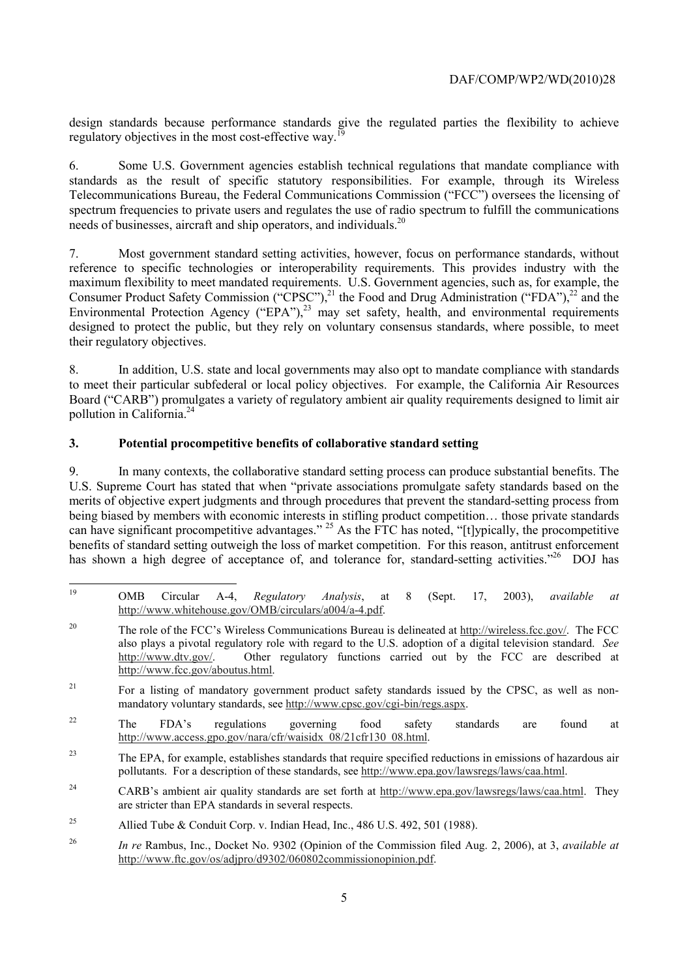design standards because performance standards give the regulated parties the flexibility to achieve regulatory objectives in the most cost-effective way.<sup>19</sup>

 Telecommunications Bureau, the Federal Communications Commission ("FCC") oversees the licensing of needs of businesses, aircraft and ship operators, and individuals.<sup>20</sup> 6. Some U.S. Government agencies establish technical regulations that mandate compliance with standards as the result of specific statutory responsibilities. For example, through its Wireless spectrum frequencies to private users and regulates the use of radio spectrum to fulfill the communications

maximum flexibility to meet mandated requirements. U.S. Government agencies, such as, for example, the 7. Most government standard setting activities, however, focus on performance standards, without reference to specific technologies or interoperability requirements. This provides industry with the maximum flexibility to meet mandated requirements. U.S. Government agencies, such as, for example, the Consumer Product Safety Commission ("CPSC"),<sup>21</sup> the Food and Drug Administration ("FDA"),<sup>22</sup> and the Environmental Protection Agency ("EPA"), $^{23}$  may set safety, health, and environmental requirements designed to protect the public, but they rely on voluntary consensus standards, where possible, to meet their regulatory objectives.

pollution in California.<sup>24</sup> 8. In addition, U.S. state and local governments may also opt to mandate compliance with standards to meet their particular subfederal or local policy objectives. For example, the California Air Resources Board ("CARB") promulgates a variety of regulatory ambient air quality requirements designed to limit air

# **3. Potential procompetitive benefits of collaborative standard setting**

 U.S. Supreme Court has stated that when "private associations promulgate safety standards based on the 9. In many contexts, the collaborative standard setting process can produce substantial benefits. The merits of objective expert judgments and through procedures that prevent the standard-setting process from being biased by members with economic interests in stifling product competition… those private standards can have significant procompetitive advantages." <sup>25</sup> As the FTC has noted, "[t]ypically, the procompetitive benefits of standard setting outweigh the loss of market competition. For this reason, antitrust enforcement has shown a high degree of acceptance of, and tolerance for, standard-setting activities."<sup>26</sup> DOJ has

 19 OMB Circular A-4, *Regulatory Analysis*, at 8 (Sept. 17, 2003), *available at*  http://www.whitehouse.gov/OMB/circulars/a004/a-4.pdf.

<sup>20</sup> 20 The role of the FCC's Wireless Communications Bureau is delineated at http://wireless.fcc.gov/. The FCC also plays a pivotal regulatory role with regard to the U.S. adoption of a digital television standard. *See*  http://www.dtv.gov/. Other regulatory functions carried out by the FCC are described at http://www.fcc.gov/aboutus.html.

<sup>&</sup>lt;sup>21</sup> For a listing of mandatory government product safety standards issued by the CPSC, as well as nonmandatory voluntary standards, see http://www.cpsc.gov/cgi-bin/regs.aspx.

 $22$  $22$  The FDA's regulations governing food safety standards are found at http://www.access.gpo.gov/nara/cfr/waisidx\_08/21cfr130\_08.html.

<sup>&</sup>lt;sup>23</sup> The EPA, for example, establishes standards that require specified reductions in emissions of hazardous air pollutants. For a description of these standards, see http://www.epa.gov/lawsregs/laws/caa.html.

<sup>&</sup>lt;sup>24</sup> CARB's ambient air quality standards are set forth at http://www.epa.gov/lawsregs/laws/caa.html. They are stricter than EPA standards in several respects.

<sup>25</sup> Allied Tube & Conduit Corp. v. Indian Head, Inc., 486 U.S. 492, 501 (1988).

<sup>26</sup>*In re* Rambus, Inc., Docket No. 9302 (Opinion of the Commission filed Aug. 2, 2006), at 3, *available at*  http://www.ftc.gov/os/adjpro/d9302/060802commissionopinion.pdf.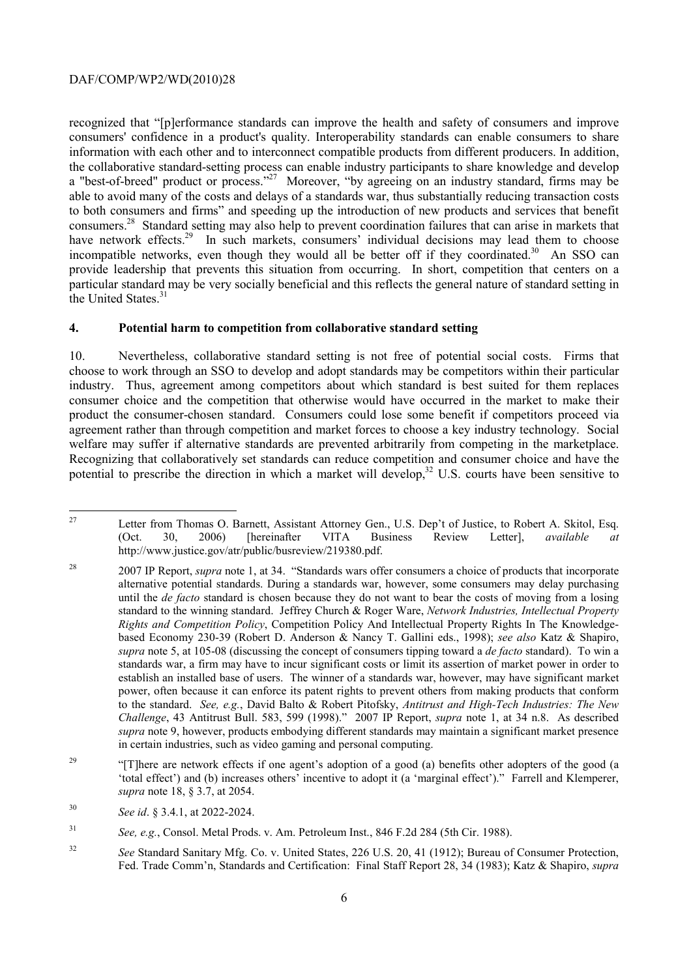have network effects.<sup>29</sup> In such markets, consumers' individual decisions may lead them to choose provide leadership that prevents this situation from occurring. In short, competition that centers on a particular standard may be very socially beneficial and this reflects the general nature of standard setting in the United States.<sup>31</sup> recognized that "[p]erformance standards can improve the health and safety of consumers and improve consumers' confidence in a product's quality. Interoperability standards can enable consumers to share information with each other and to interconnect compatible products from different producers. In addition, the collaborative standard-setting process can enable industry participants to share knowledge and develop a "best-of-breed" product or process."<sup>27</sup> Moreover, "by agreeing on an industry standard, firms may be able to avoid many of the costs and delays of a standards war, thus substantially reducing transaction costs to both consumers and firms" and speeding up the introduction of new products and services that benefit consumers.28 Standard setting may also help to prevent coordination failures that can arise in markets that incompatible networks, even though they would all be better off if they coordinated.<sup>30</sup> An SSO can

#### **4. Potential harm to competition from collaborative standard setting**

 industry. Thus, agreement among competitors about which standard is best suited for them replaces welfare may suffer if alternative standards are prevented arbitrarily from competing in the marketplace. Recognizing that collaboratively set standards can reduce competition and consumer choice and have the 10. Nevertheless, collaborative standard setting is not free of potential social costs. Firms that choose to work through an SSO to develop and adopt standards may be competitors within their particular consumer choice and the competition that otherwise would have occurred in the market to make their product the consumer-chosen standard. Consumers could lose some benefit if competitors proceed via agreement rather than through competition and market forces to choose a key industry technology. Social potential to prescribe the direction in which a market will develop,<sup>32</sup> U.S. courts have been sensitive to

 $\overline{a}$ 

**Business** Letter from Thomas O. Barnett, Assistant Attorney Gen., U.S. Dep't of Justice, to Robert A. Skitol, Esq. (Oct. 30, 2006) [hereinafter VITA Business Review Letter], *available at*  http://www.justice.gov/atr/public/busreview/219380.pdf.

 $28$  alternative potential standards. During a standards war, however, some consumers may delay purchasing until the *de facto* standard is chosen because they do not want to bear the costs of moving from a losing standard to the winning standard. Jeffrey Church & Roger Ware, *Network Industries, Intellectual Property*  based Economy 230-39 (Robert D. Anderson & Nancy T. Gallini eds., 1998); *see also* Katz & Shapiro, standards war, a firm may have to incur significant costs or limit its assertion of market power in order to power, often because it can enforce its patent rights to prevent others from making products that conform *supra* note 9, however, products embodying different standards may maintain a significant market presence in certain industries, such as video gaming and personal computing. 28 2007 IP Report, *supra* note 1, at 34. "Standards wars offer consumers a choice of products that incorporate *Rights and Competition Policy*, Competition Policy And Intellectual Property Rights In The Knowledge*supra* note 5, at 105-08 (discussing the concept of consumers tipping toward a *de facto* standard). To win a establish an installed base of users. The winner of a standards war, however, may have significant market to the standard. *See, e.g.*, David Balto & Robert Pitofsky, *Antitrust and High-Tech Industries: The New Challenge*, 43 Antitrust Bull. 583, 599 (1998)." 2007 IP Report, *supra* note 1, at 34 n.8. As described

<sup>&</sup>lt;sup>29</sup> "[T]here are network effects if one agent's adoption of a good (a) benefits other adopters of the good (a) 'total effect') and (b) increases others' incentive to adopt it (a 'marginal effect')." Farrell and Klemperer, *supra* note 18, § 3.7, at 2054.

<sup>30</sup> <sup>30</sup>*See id*. § 3.4.1, at 2022-2024.

 $31$ <sup>31</sup>*See, e.g.*, Consol. Metal Prods. v. Am. Petroleum Inst., 846 F.2d 284 (5th Cir. 1988).

 Fed. Trade Comm'n, Standards and Certification: Final Staff Report 28, 34 (1983); Katz & Shapiro, *supra*  <sup>32</sup>*See* Standard Sanitary Mfg. Co. v. United States, 226 U.S. 20, 41 (1912); Bureau of Consumer Protection,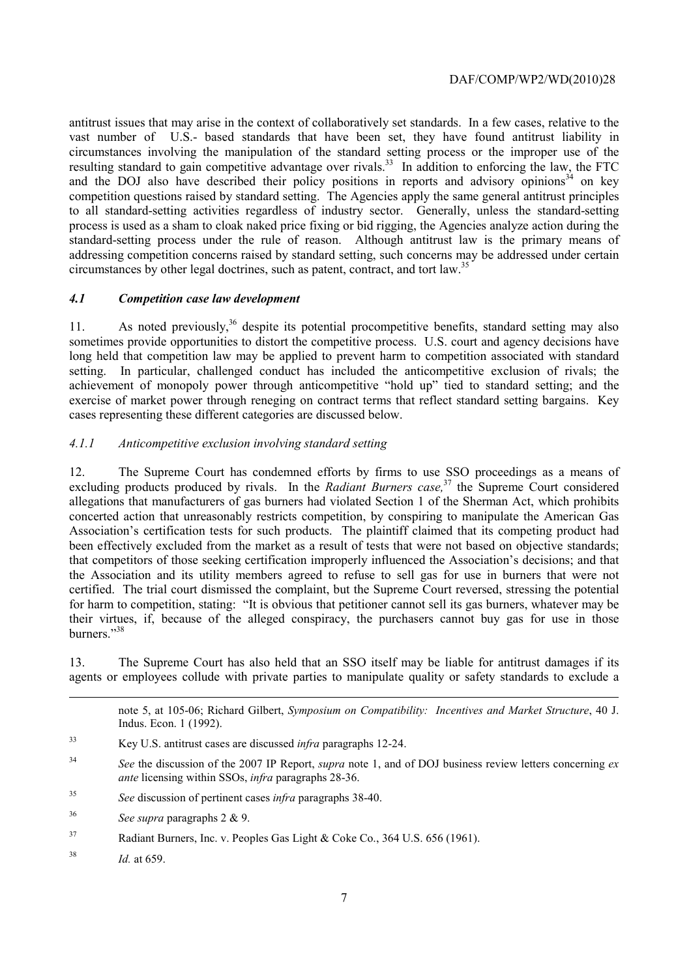resulting standard to gain competitive advantage over rivals.<sup>33</sup> In addition to enforcing the law, the FTC circumstances by other legal doctrines, such as patent, contract, and tort law.<sup>35</sup> antitrust issues that may arise in the context of collaboratively set standards. In a few cases, relative to the vast number of U.S.- based standards that have been set, they have found antitrust liability in circumstances involving the manipulation of the standard setting process or the improper use of the and the DOJ also have described their policy positions in reports and advisory opinions $34$  on key competition questions raised by standard setting. The Agencies apply the same general antitrust principles to all standard-setting activities regardless of industry sector. Generally, unless the standard-setting process is used as a sham to cloak naked price fixing or bid rigging, the Agencies analyze action during the standard-setting process under the rule of reason. Although antitrust law is the primary means of addressing competition concerns raised by standard setting, such concerns may be addressed under certain

## *4.1 Competition case law development*

 achievement of monopoly power through anticompetitive "hold up" tied to standard setting; and the exercise of market power through reneging on contract terms that reflect standard setting bargains. Key 11. As noted previously,<sup>36</sup> despite its potential procompetitive benefits, standard setting may also sometimes provide opportunities to distort the competitive process. U.S. court and agency decisions have long held that competition law may be applied to prevent harm to competition associated with standard setting. In particular, challenged conduct has included the anticompetitive exclusion of rivals; the cases representing these different categories are discussed below.

# *4.1.1 Anticompetitive exclusion involving standard setting*

 Association's certification tests for such products. The plaintiff claimed that its competing product had burners."<sup>38</sup> 12. The Supreme Court has condemned efforts by firms to use SSO proceedings as a means of excluding products produced by rivals. In the *Radiant Burners case*,<sup>37</sup> the Supreme Court considered allegations that manufacturers of gas burners had violated Section 1 of the Sherman Act, which prohibits concerted action that unreasonably restricts competition, by conspiring to manipulate the American Gas been effectively excluded from the market as a result of tests that were not based on objective standards; that competitors of those seeking certification improperly influenced the Association's decisions; and that the Association and its utility members agreed to refuse to sell gas for use in burners that were not certified. The trial court dismissed the complaint, but the Supreme Court reversed, stressing the potential for harm to competition, stating: "It is obvious that petitioner cannot sell its gas burners, whatever may be their virtues, if, because of the alleged conspiracy, the purchasers cannot buy gas for use in those

13. The Supreme Court has also held that an SSO itself may be liable for antitrust damages if its agents or employees collude with private parties to manipulate quality or safety standards to exclude a

|    | note 5, at 105-06; Richard Gilbert, Symposium on Compatibility: Incentives and Market Structure, 40 J.<br>Indus. Econ. 1 (1992). |  |
|----|----------------------------------------------------------------------------------------------------------------------------------|--|
| 33 | Key U.S. antitrust cases are discussed <i>infra</i> paragraphs 12-24.                                                            |  |

- <sup>34</sup>*See* the discussion of the 2007 IP Report, *supra* note 1, and of DOJ business review letters concerning *ex ante* licensing within SSOs, *infra* paragraphs 28-36.
- 35 <sup>35</sup>*See* discussion of pertinent cases *infra* paragraphs 38-40.
- 36 <sup>36</sup>*See supra* paragraphs 2 & 9.
- 37 Radiant Burners, Inc. v. Peoples Gas Light & Coke Co., 364 U.S. 656 (1961).
- <sup>38</sup>*Id.* at 659.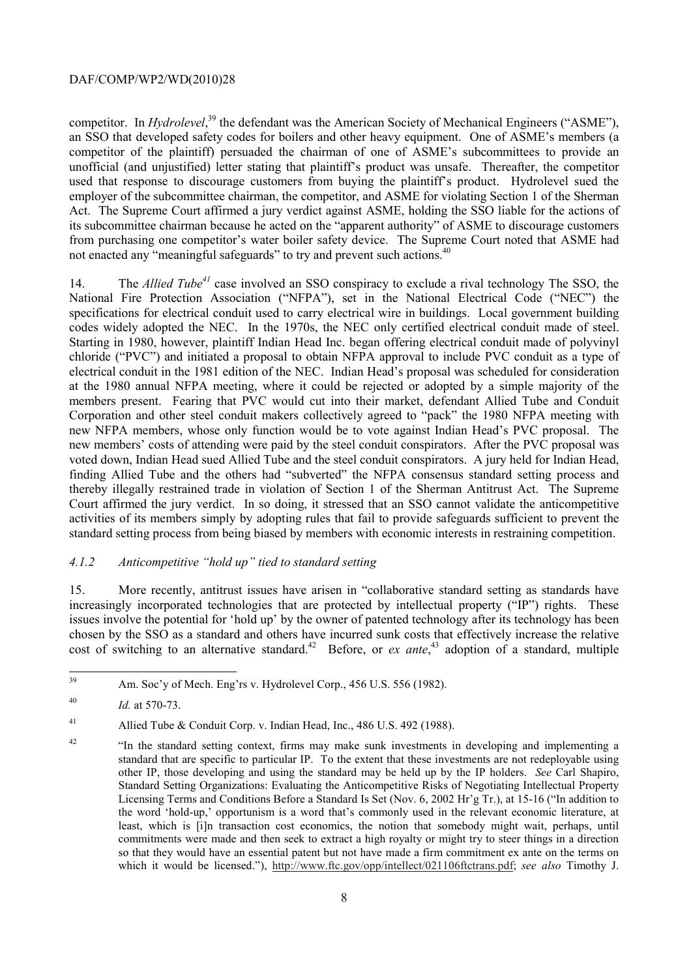competitor. In *Hydrolevel*,<sup>39</sup> the defendant was the American Society of Mechanical Engineers ("ASME"), an SSO that developed safety codes for boilers and other heavy equipment. One of ASME's members (a competitor of the plaintiff) persuaded the chairman of one of ASME's subcommittees to provide an unofficial (and unjustified) letter stating that plaintiff's product was unsafe. Thereafter, the competitor used that response to discourage customers from buying the plaintiff's product. Hydrolevel sued the employer of the subcommittee chairman, the competitor, and ASME for violating Section 1 of the Sherman Act. The Supreme Court affirmed a jury verdict against ASME, holding the SSO liable for the actions of its subcommittee chairman because he acted on the "apparent authority" of ASME to discourage customers from purchasing one competitor's water boiler safety device. The Supreme Court noted that ASME had not enacted any "meaningful safeguards" to try and prevent such actions.<sup>40</sup>

 codes widely adopted the NEC. In the 1970s, the NEC only certified electrical conduit made of steel. new NFPA members, whose only function would be to vote against Indian Head's PVC proposal. The 14. The *Allied Tube<sup>41</sup>* case involved an SSO conspiracy to exclude a rival technology The SSO, the National Fire Protection Association ("NFPA"), set in the National Electrical Code ("NEC") the specifications for electrical conduit used to carry electrical wire in buildings. Local government building Starting in 1980, however, plaintiff Indian Head Inc. began offering electrical conduit made of polyvinyl chloride ("PVC") and initiated a proposal to obtain NFPA approval to include PVC conduit as a type of electrical conduit in the 1981 edition of the NEC. Indian Head's proposal was scheduled for consideration at the 1980 annual NFPA meeting, where it could be rejected or adopted by a simple majority of the members present. Fearing that PVC would cut into their market, defendant Allied Tube and Conduit Corporation and other steel conduit makers collectively agreed to "pack" the 1980 NFPA meeting with new members' costs of attending were paid by the steel conduit conspirators. After the PVC proposal was voted down, Indian Head sued Allied Tube and the steel conduit conspirators. A jury held for Indian Head, finding Allied Tube and the others had "subverted" the NFPA consensus standard setting process and thereby illegally restrained trade in violation of Section 1 of the Sherman Antitrust Act. The Supreme Court affirmed the jury verdict. In so doing, it stressed that an SSO cannot validate the anticompetitive activities of its members simply by adopting rules that fail to provide safeguards sufficient to prevent the standard setting process from being biased by members with economic interests in restraining competition.

## *4.1.2 Anticompetitive "hold up" tied to standard setting*

15. More recently, antitrust issues have arisen in "collaborative standard setting as standards have increasingly incorporated technologies that are protected by intellectual property ("IP") rights. These issues involve the potential for 'hold up' by the owner of patented technology after its technology has been chosen by the SSO as a standard and others have incurred sunk costs that effectively increase the relative cost of switching to an alternative standard.<sup>42</sup> Before, or *ex ante*,<sup>43</sup> adoption of a standard, multiple

Am. Soc'v of Mech. Eng'rs v. Hydrolevel Corp., 456 U.S. 556 (1982).

 $40$ Id. at 570-73.

<sup>&</sup>lt;sup>41</sup> Allied Tube & Conduit Corp. v. Indian Head, Inc., 486 U.S. 492 (1988).

 Standard Setting Organizations: Evaluating the Anticompetitive Risks of Negotiating Intellectual Property so that they would have an essential patent but not have made a firm commitment ex ante on the terms on <sup>42</sup> "In the standard setting context, firms may make sunk investments in developing and implementing a standard that are specific to particular IP. To the extent that these investments are not redeployable using other IP, those developing and using the standard may be held up by the IP holders. *See* Carl Shapiro, Licensing Terms and Conditions Before a Standard Is Set (Nov. 6, 2002 Hr'g Tr.), at 15-16 ("In addition to the word 'hold-up,' opportunism is a word that's commonly used in the relevant economic literature, at least, which is [i]n transaction cost economics, the notion that somebody might wait, perhaps, until commitments were made and then seek to extract a high royalty or might try to steer things in a direction which it would be licensed."), http://www.ftc.gov/opp/intellect/021106ftctrans.pdf; see also Timothy J.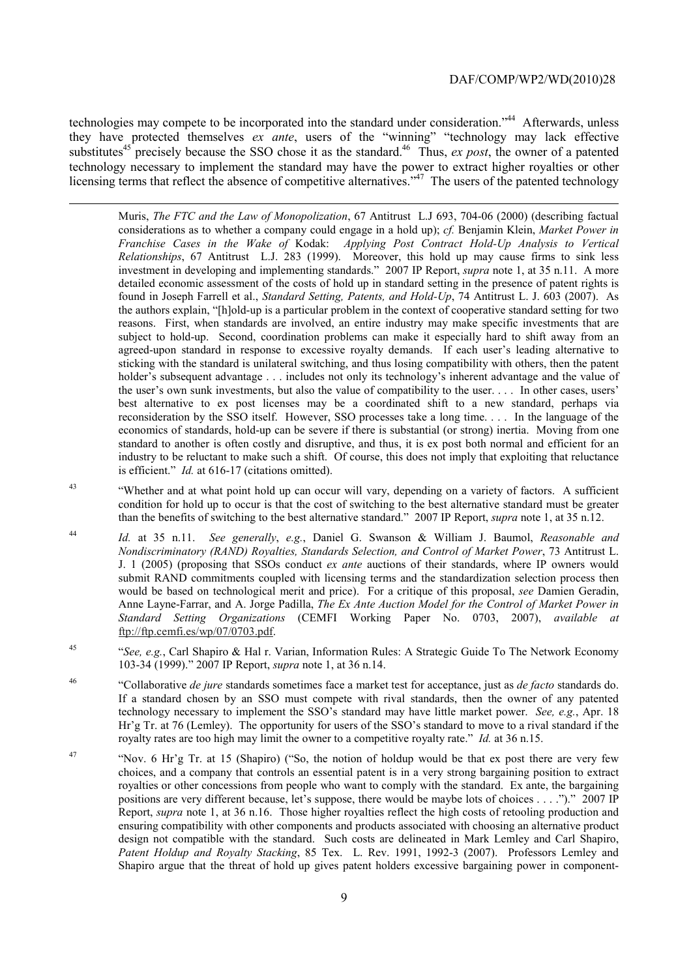technologies may compete to be incorporated into the standard under consideration."<sup>44</sup> Afterwards, unless they have protected themselves *ex ante*, users of the "winning" "technology may lack effective substitutes<sup>45</sup> precisely because the SSO chose it as the standard.<sup>46</sup> Thus, *ex post*, the owner of a patented technology necessary to implement the standard may have the power to extract higher royalties or other licensing terms that reflect the absence of competitive alternatives."<sup>47</sup> The users of the patented technology

1

 Muris, *The FTC and the Law of Monopolization*, 67 Antitrust L.J 693, 704-06 (2000) (describing factual considerations as to whether a company could engage in a hold up); *cf.* Benjamin Klein, *Market Power in Franchise Cases in the Wake of* Kodak: *Applying Post Contract Hold-Up Analysis to Vertical*  investment in developing and implementing standards." 2007 IP Report, *supra* note 1, at 35 n.11. A more the authors explain, "[h]old-up is a particular problem in the context of cooperative standard setting for two reasons. First, when standards are involved, an entire industry may make specific investments that are subject to hold-up. Second, coordination problems can make it especially hard to shift away from an holder's subsequent advantage . . . includes not only its technology's inherent advantage and the value of reconsideration by the SSO itself. However, SSO processes take a long time. . . . In the language of the *Relationships*, 67 Antitrust L.J. 283 (1999). Moreover, this hold up may cause firms to sink less detailed economic assessment of the costs of hold up in standard setting in the presence of patent rights is found in Joseph Farrell et al., *Standard Setting, Patents, and Hold-Up*, 74 Antitrust L. J. 603 (2007). As agreed-upon standard in response to excessive royalty demands. If each user's leading alternative to sticking with the standard is unilateral switching, and thus losing compatibility with others, then the patent the user's own sunk investments, but also the value of compatibility to the user. . . . In other cases, users' best alternative to ex post licenses may be a coordinated shift to a new standard, perhaps via economics of standards, hold-up can be severe if there is substantial (or strong) inertia. Moving from one standard to another is often costly and disruptive, and thus, it is ex post both normal and efficient for an industry to be reluctant to make such a shift. Of course, this does not imply that exploiting that reluctance is efficient." *Id.* at 616-17 (citations omitted).

- $43$  condition for hold up to occur is that the cost of switching to the best alternative standard must be greater than the benefits of switching to the best alternative standard." 2007 IP Report, *supra* note 1, at 35 n.12. "Whether and at what point hold up can occur will vary, depending on a variety of factors. A sufficient
- 44 *Nondiscriminatory (RAND) Royalties, Standards Selection, and Control of Market Power*, 73 Antitrust L. J. 1 (2005) (proposing that SSOs conduct *ex ante* auctions of their standards, where IP owners would *Standard Setting Organizations* (CEMFI Working Paper No. 0703, 2007), *available at* Id. at 35 n.11. See generally, e.g., Daniel G. Swanson & William J. Baumol, Reasonable and submit RAND commitments coupled with licensing terms and the standardization selection process then would be based on technological merit and price). For a critique of this proposal, *see* Damien Geradin, Anne Layne-Farrar, and A. Jorge Padilla, *The Ex Ante Auction Model for the Control of Market Power in*  ftp://ftp.cemfi.es/wp/07/0703.pdf.
- 45 "*See, e.g.*, Carl Shapiro & Hal r. Varian, Information Rules: A Strategic Guide To The Network Economy 103-34 (1999)." 2007 IP Report, *supra* note 1, at 36 n.14.
- 46 technology necessary to implement the SSO's standard may have little market power. *See, e.g.*, Apr. 18 royalty rates are too high may limit the owner to a competitive royalty rate." *Id.* at 36 n.15. 46 "Collaborative *de jure* standards sometimes face a market test for acceptance, just as *de facto* standards do. If a standard chosen by an SSO must compete with rival standards, then the owner of any patented Hr'g Tr. at 76 (Lemley). The opportunity for users of the SSO's standard to move to a rival standard if the
- royalties or other concessions from people who want to comply with the standard. Ex ante, the bargaining Report, *supra* note 1, at 36 n.16. Those higher royalties reflect the high costs of retooling production and <sup>47</sup> "Nov. 6 Hr'g Tr. at 15 (Shapiro) ("So, the notion of holdup would be that ex post there are very few choices, and a company that controls an essential patent is in a very strong bargaining position to extract positions are very different because, let's suppose, there would be maybe lots of choices . . . .")." 2007 IP ensuring compatibility with other components and products associated with choosing an alternative product design not compatible with the standard. Such costs are delineated in Mark Lemley and Carl Shapiro, *Patent Holdup and Royalty Stacking*, 85 Tex. L. Rev. 1991, 1992-3 (2007). Professors Lemley and Shapiro argue that the threat of hold up gives patent holders excessive bargaining power in component-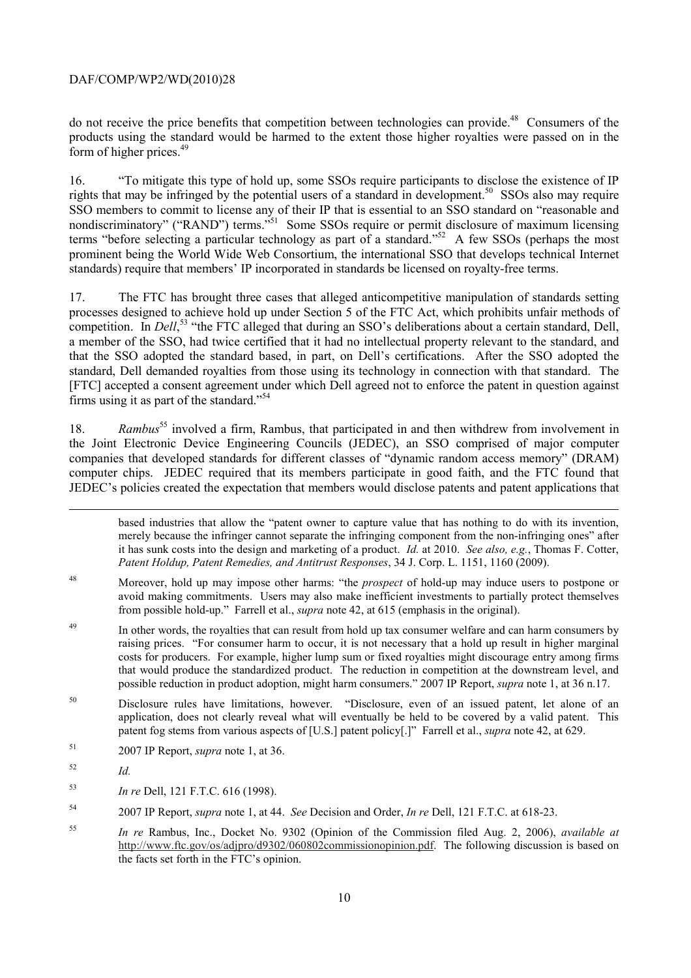do not receive the price benefits that competition between technologies can provide.<sup>48</sup> Consumers of the products using the standard would be harmed to the extent those higher royalties were passed on in the form of higher prices.49

16. "To mitigate this type of hold up, some SSOs require participants to disclose the existence of IP rights that may be infringed by the potential users of a standard in development.50 SSOs also may require SSO members to commit to license any of their IP that is essential to an SSO standard on "reasonable and nondiscriminatory" ("RAND") terms.<sup>551</sup> Some SSOs require or permit disclosure of maximum licensing terms "before selecting a particular technology as part of a standard."<sup>52</sup> A few SSOs (perhaps the most prominent being the World Wide Web Consortium, the international SSO that develops technical Internet standards) require that members' IP incorporated in standards be licensed on royalty-free terms.

17. The FTC has brought three cases that alleged anticompetitive manipulation of standards setting processes designed to achieve hold up under Section 5 of the FTC Act, which prohibits unfair methods of competition. In *Dell*,<sup>53</sup> "the FTC alleged that during an SSO's deliberations about a certain standard, Dell, a member of the SSO, had twice certified that it had no intellectual property relevant to the standard, and that the SSO adopted the standard based, in part, on Dell's certifications. After the SSO adopted the standard, Dell demanded royalties from those using its technology in connection with that standard. The [FTC] accepted a consent agreement under which Dell agreed not to enforce the patent in question against firms using it as part of the standard."54

18. *Rambus*55 involved a firm, Rambus, that participated in and then withdrew from involvement in the Joint Electronic Device Engineering Councils (JEDEC), an SSO comprised of major computer companies that developed standards for different classes of "dynamic random access memory" (DRAM) computer chips. JEDEC required that its members participate in good faith, and the FTC found that JEDEC's policies created the expectation that members would disclose patents and patent applications that

 merely because the infringer cannot separate the infringing component from the non-infringing ones" after based industries that allow the "patent owner to capture value that has nothing to do with its invention, it has sunk costs into the design and marketing of a product. *Id.* at 2010. *See also, e.g.*, Thomas F. Cotter, *Patent Holdup, Patent Remedies, and Antitrust Responses*, 34 J. Corp. L. 1151, 1160 (2009).

- 48 avoid making commitments. Users may also make inefficient investments to partially protect themselves 48 Moreover, hold up may impose other harms: "the *prospect* of hold-up may induce users to postpone or from possible hold-up." Farrell et al., *supra* note 42, at 615 (emphasis in the original).
- 49 raising prices. "For consumer harm to occur, it is not necessary that a hold up result in higher marginal In other words, the royalties that can result from hold up tax consumer welfare and can harm consumers by costs for producers. For example, higher lump sum or fixed royalties might discourage entry among firms that would produce the standardized product. The reduction in competition at the downstream level, and possible reduction in product adoption, might harm consumers." 2007 IP Report, *supra* note 1, at 36 n.17.
- patent fog stems from various aspects of [U.S.] patent policy[.]" Farrell et al., *supra* note 42, at 629.<br><sup>51</sup> 2007 IP Report, *supra* note 1, at 36. 50 Disclosure rules have limitations, however. "Disclosure, even of an issued patent, let alone of an application, does not clearly reveal what will eventually be held to be covered by a valid patent. This
- 
- 52  $Id$ .

-

- <sup>53</sup>*In re* Dell, 121 F.T.C. 616 (1998).
- 54 54 2007 IP Report, *supra* note 1, at 44. *See* Decision and Order, *In re* Dell, 121 F.T.C. at 618-23.
- <sup>55</sup>*In re* Rambus, Inc., Docket No. 9302 (Opinion of the Commission filed Aug. 2, 2006), *available at*  http://www.ftc.gov/os/adjpro/d9302/060802commissionopinion.pdf. The following discussion is based on the facts set forth in the FTC's opinion.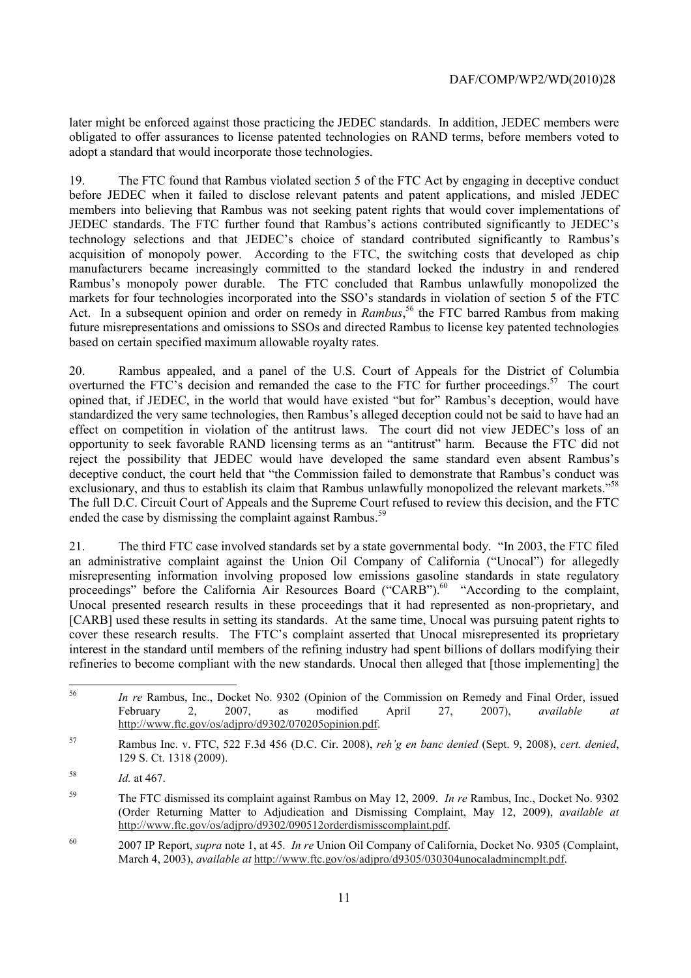later might be enforced against those practicing the JEDEC standards. In addition, JEDEC members were obligated to offer assurances to license patented technologies on RAND terms, before members voted to adopt a standard that would incorporate those technologies.

 Act. In a subsequent opinion and order on remedy in *Rambus*, 56 the FTC barred Rambus from making based on certain specified maximum allowable royalty rates. 19. The FTC found that Rambus violated section 5 of the FTC Act by engaging in deceptive conduct before JEDEC when it failed to disclose relevant patents and patent applications, and misled JEDEC members into believing that Rambus was not seeking patent rights that would cover implementations of JEDEC standards. The FTC further found that Rambus's actions contributed significantly to JEDEC's technology selections and that JEDEC's choice of standard contributed significantly to Rambus's acquisition of monopoly power. According to the FTC, the switching costs that developed as chip manufacturers became increasingly committed to the standard locked the industry in and rendered Rambus's monopoly power durable. The FTC concluded that Rambus unlawfully monopolized the markets for four technologies incorporated into the SSO's standards in violation of section 5 of the FTC future misrepresentations and omissions to SSOs and directed Rambus to license key patented technologies

overturned the FTC's decision and remanded the case to the FTC for further proceedings.<sup>57</sup> The court exclusionary, and thus to establish its claim that Rambus unlawfully monopolized the relevant markets."<sup>58</sup> 20. Rambus appealed, and a panel of the U.S. Court of Appeals for the District of Columbia opined that, if JEDEC, in the world that would have existed "but for" Rambus's deception, would have standardized the very same technologies, then Rambus's alleged deception could not be said to have had an effect on competition in violation of the antitrust laws. The court did not view JEDEC's loss of an opportunity to seek favorable RAND licensing terms as an "antitrust" harm. Because the FTC did not reject the possibility that JEDEC would have developed the same standard even absent Rambus's deceptive conduct, the court held that "the Commission failed to demonstrate that Rambus's conduct was The full D.C. Circuit Court of Appeals and the Supreme Court refused to review this decision, and the FTC ended the case by dismissing the complaint against Rambus.<sup>59</sup>

 an administrative complaint against the Union Oil Company of California ("Unocal") for allegedly refineries to become compliant with the new standards. Unocal then alleged that [those implementing] the 21. The third FTC case involved standards set by a state governmental body. "In 2003, the FTC filed misrepresenting information involving proposed low emissions gasoline standards in state regulatory proceedings" before the California Air Resources Board ("CARB").<sup>60</sup> "According to the complaint, Unocal presented research results in these proceedings that it had represented as non-proprietary, and [CARB] used these results in setting its standards. At the same time, Unocal was pursuing patent rights to cover these research results. The FTC's complaint asserted that Unocal misrepresented its proprietary interest in the standard until members of the refining industry had spent billions of dollars modifying their

 <sup>56</sup>*In re* Rambus, Inc., Docket No. 9302 (Opinion of the Commission on Remedy and Final Order, issued February 2, 2007, as modified April 27, 2007), *available at*  http://www.ftc.gov/os/adjpro/d9302/070205opinion.pdf.

<sup>57</sup> Rambus Inc. v. FTC, 522 F.3d 456 (D.C. Cir. 2008), *reh'g en banc denied* (Sept. 9, 2008), *cert. denied*, 129 S. Ct. 1318 (2009).

<sup>58</sup> <sup>58</sup>*Id.* at 467.

<sup>59</sup> The FTC dismissed its complaint against Rambus on May 12, 2009. *In re* Rambus, Inc., Docket No. 9302 (Order Returning Matter to Adjudication and Dismissing Complaint, May 12, 2009), *available at*  http://www.ftc.gov/os/adjpro/d9302/090512orderdismisscomplaint.pdf.

<sup>60 2007</sup> IP Report, *supra* note 1, at 45. *In re* Union Oil Company of California, Docket No. 9305 (Complaint, March 4, 2003), *available at* http://www.ftc.gov/os/adjpro/d9305/030304unocaladmincmplt.pdf.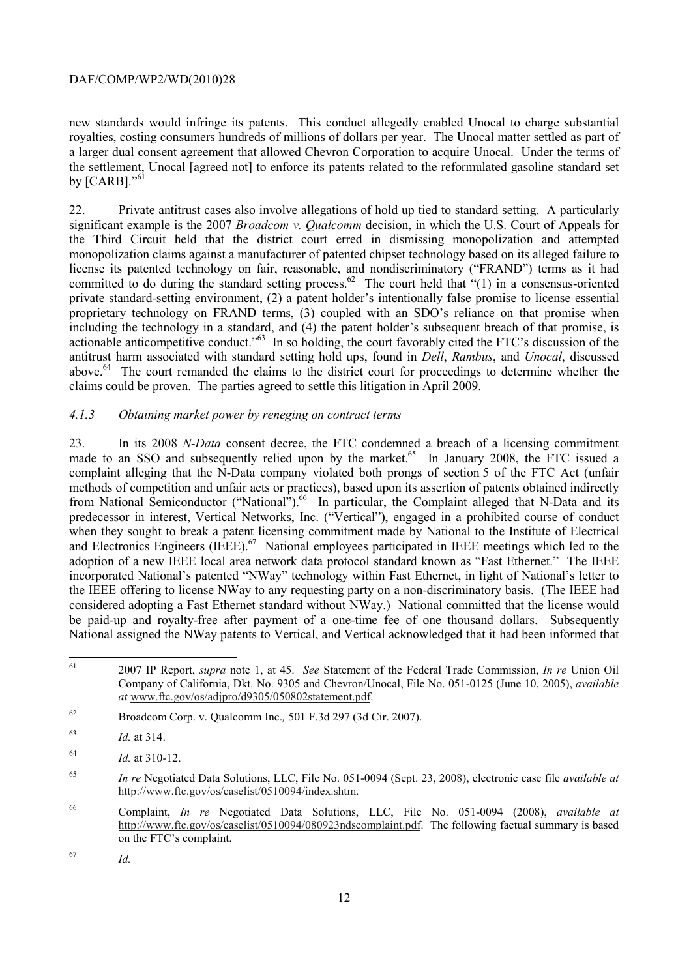new standards would infringe its patents. This conduct allegedly enabled Unocal to charge substantial royalties, costing consumers hundreds of millions of dollars per year. The Unocal matter settled as part of a larger dual consent agreement that allowed Chevron Corporation to acquire Unocal. Under the terms of the settlement, Unocal [agreed not] to enforce its patents related to the reformulated gasoline standard set by  $[CARB]$ ."<sup>61</sup>

committed to do during the standard setting process.<sup>62</sup> The court held that " $(1)$  in a consensus-oriented actionable anticompetitive conduct."<sup>63</sup> In so holding, the court favorably cited the FTC's discussion of the 22. Private antitrust cases also involve allegations of hold up tied to standard setting. A particularly significant example is the 2007 *Broadcom v. Qualcomm* decision, in which the U.S. Court of Appeals for the Third Circuit held that the district court erred in dismissing monopolization and attempted monopolization claims against a manufacturer of patented chipset technology based on its alleged failure to license its patented technology on fair, reasonable, and nondiscriminatory ("FRAND") terms as it had private standard-setting environment, (2) a patent holder's intentionally false promise to license essential proprietary technology on FRAND terms, (3) coupled with an SDO's reliance on that promise when including the technology in a standard, and (4) the patent holder's subsequent breach of that promise, is antitrust harm associated with standard setting hold ups, found in *Dell*, *Rambus*, and *Unocal*, discussed above.64 The court remanded the claims to the district court for proceedings to determine whether the claims could be proven. The parties agreed to settle this litigation in April 2009.

## *4.1.3 Obtaining market power by reneging on contract terms*

made to an SSO and subsequently relied upon by the market.<sup>65</sup> In January 2008, the FTC issued a and Electronics Engineers (IEEE).<sup>67</sup> National employees participated in IEEE meetings which led to the adoption of a new IEEE local area network data protocol standard known as "Fast Ethernet." The IEEE incorporated National's patented "NWay" technology within Fast Ethernet, in light of National's letter to 23. In its 2008 *N-Data* consent decree, the FTC condemned a breach of a licensing commitment complaint alleging that the N-Data company violated both prongs of section 5 of the FTC Act (unfair methods of competition and unfair acts or practices), based upon its assertion of patents obtained indirectly from National Semiconductor ("National").<sup>66</sup> In particular, the Complaint alleged that N-Data and its predecessor in interest, Vertical Networks, Inc. ("Vertical"), engaged in a prohibited course of conduct when they sought to break a patent licensing commitment made by National to the Institute of Electrical the IEEE offering to license NWay to any requesting party on a non-discriminatory basis. (The IEEE had considered adopting a Fast Ethernet standard without NWay.) National committed that the license would be paid-up and royalty-free after payment of a one-time fee of one thousand dollars. Subsequently National assigned the NWay patents to Vertical, and Vertical acknowledged that it had been informed that

*Id.* 

 $\overline{a}$ 

<sup>61 2007</sup> IP Report, *supra* note 1, at 45. *See* Statement of the Federal Trade Commission, *In re* Union Oil Company of California, Dkt. No. 9305 and Chevron/Unocal, File No. 051-0125 (June 10, 2005), *available at* www.ftc.gov/os/adjpro/d9305/050802statement.pdf.

<sup>62</sup> 62 Broadcom Corp. v. Qualcomm Inc.*,* 501 F.3d 297 (3d Cir. 2007).

<sup>63</sup>*Id.* at 314.

<sup>64</sup>*Id.* at 310-12.

<sup>65</sup>*In re* Negotiated Data Solutions, LLC, File No. 051-0094 (Sept. 23, 2008), electronic case file *available at*  http://www.ftc.gov/os/caselist/0510094/index.shtm.

<sup>66</sup> http://www.ftc.gov/os/caselist/0510094/080923ndscomplaint.pdf. The following factual summary is based 66 Complaint, *In re* Negotiated Data Solutions, LLC, File No. 051-0094 (2008), *available at*  on the FTC's complaint.

<sup>67</sup>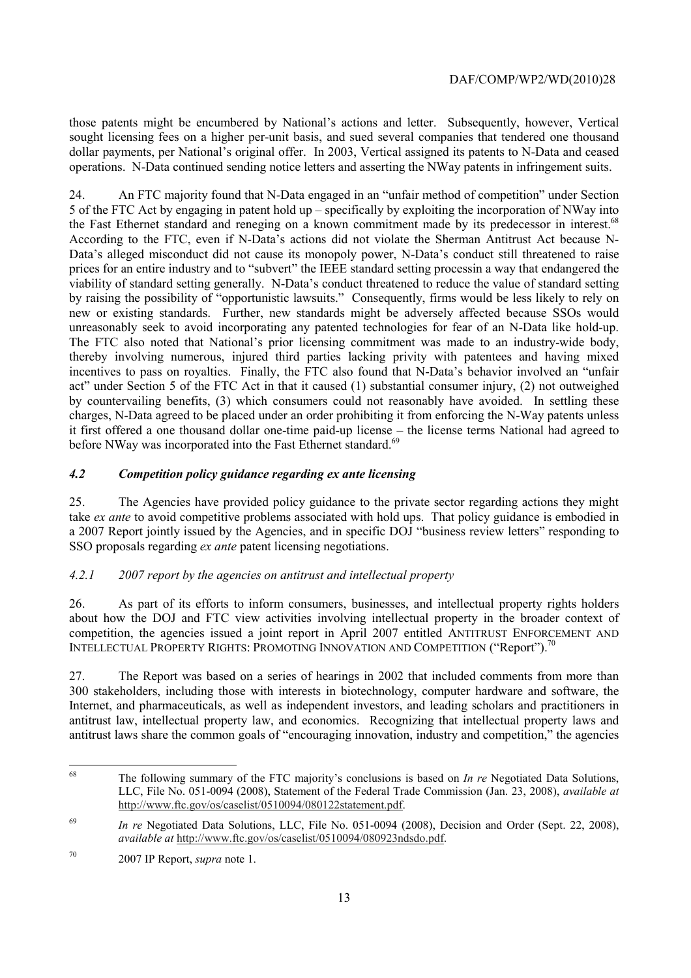those patents might be encumbered by National's actions and letter. Subsequently, however, Vertical sought licensing fees on a higher per-unit basis, and sued several companies that tendered one thousand dollar payments, per National's original offer. In 2003, Vertical assigned its patents to N-Data and ceased operations. N-Data continued sending notice letters and asserting the NWay patents in infringement suits.

the Fast Ethernet standard and reneging on a known commitment made by its predecessor in interest.<sup>68</sup> by raising the possibility of "opportunistic lawsuits." Consequently, firms would be less likely to rely on new or existing standards. Further, new standards might be adversely affected because SSOs would 24. An FTC majority found that N-Data engaged in an "unfair method of competition" under Section 5 of the FTC Act by engaging in patent hold up – specifically by exploiting the incorporation of NWay into According to the FTC, even if N-Data's actions did not violate the Sherman Antitrust Act because N-Data's alleged misconduct did not cause its monopoly power, N-Data's conduct still threatened to raise prices for an entire industry and to "subvert" the IEEE standard setting processin a way that endangered the viability of standard setting generally. N-Data's conduct threatened to reduce the value of standard setting unreasonably seek to avoid incorporating any patented technologies for fear of an N-Data like hold-up. The FTC also noted that National's prior licensing commitment was made to an industry-wide body, thereby involving numerous, injured third parties lacking privity with patentees and having mixed incentives to pass on royalties. Finally, the FTC also found that N-Data's behavior involved an "unfair act" under Section 5 of the FTC Act in that it caused (1) substantial consumer injury, (2) not outweighed by countervailing benefits, (3) which consumers could not reasonably have avoided. In settling these charges, N-Data agreed to be placed under an order prohibiting it from enforcing the N-Way patents unless it first offered a one thousand dollar one-time paid-up license – the license terms National had agreed to before NWay was incorporated into the Fast Ethernet standard.<sup>69</sup>

# *4.2 Competition policy guidance regarding ex ante licensing*

25. The Agencies have provided policy guidance to the private sector regarding actions they might take *ex ante* to avoid competitive problems associated with hold ups. That policy guidance is embodied in a 2007 Report jointly issued by the Agencies, and in specific DOJ "business review letters" responding to SSO proposals regarding *ex ante* patent licensing negotiations.

# *4.2.1 2007 report by the agencies on antitrust and intellectual property*

26. As part of its efforts to inform consumers, businesses, and intellectual property rights holders about how the DOJ and FTC view activities involving intellectual property in the broader context of competition, the agencies issued a joint report in April 2007 entitled ANTITRUST ENFORCEMENT AND INTELLECTUAL PROPERTY RIGHTS: PROMOTING INNOVATION AND COMPETITION ("Report").<sup>70</sup>

27. The Report was based on a series of hearings in 2002 that included comments from more than 300 stakeholders, including those with interests in biotechnology, computer hardware and software, the Internet, and pharmaceuticals, as well as independent investors, and leading scholars and practitioners in antitrust law, intellectual property law, and economics. Recognizing that intellectual property laws and antitrust laws share the common goals of "encouraging innovation, industry and competition," the agencies

 $68$ The following summary of the FTC majority's conclusions is based on *In re* Negotiated Data Solutions, LLC, File No. 051-0094 (2008), Statement of the Federal Trade Commission (Jan. 23, 2008), *available at*  http://www.ftc.gov/os/caselist/0510094/080122statement.pdf.

<sup>69</sup> <sup>69</sup>*In re* Negotiated Data Solutions, LLC, File No. 051-0094 (2008), Decision and Order (Sept. 22, 2008), *available at* http://www.ftc.gov/os/caselist/0510094/080923ndsdo.pdf.

<sup>70 2007</sup> IP Report, *supra* note 1.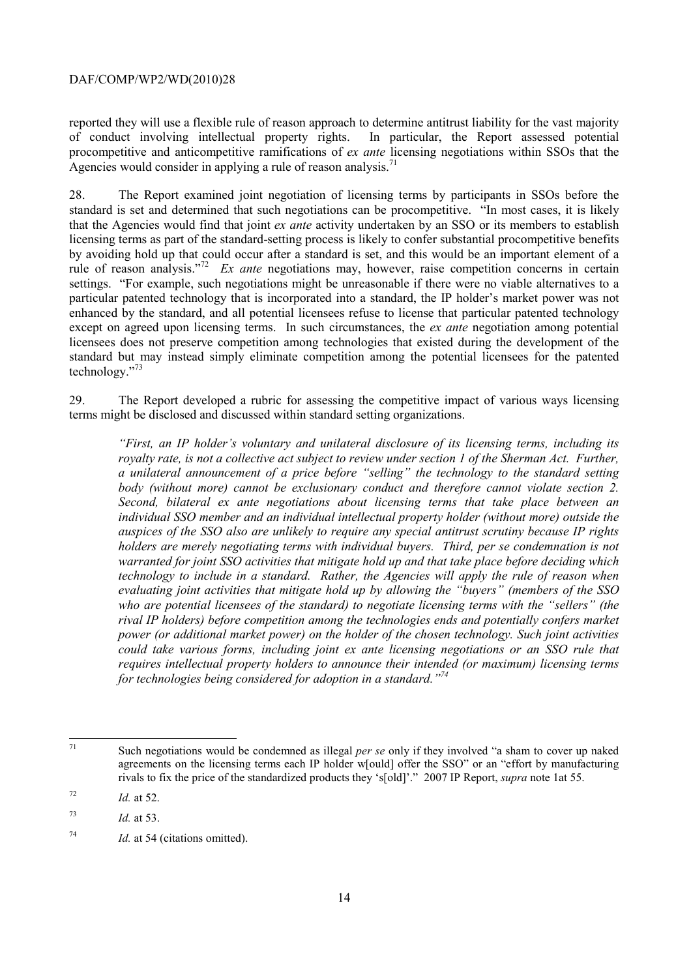Agencies would consider in applying a rule of reason analysis.<sup>71</sup> reported they will use a flexible rule of reason approach to determine antitrust liability for the vast majority of conduct involving intellectual property rights. In particular, the Report assessed potential of conduct involving intellectual property rights. procompetitive and anticompetitive ramifications of *ex ante* licensing negotiations within SSOs that the

rule of reason analysis."<sup>72</sup> *Ex ante* negotiations may, however, raise competition concerns in certain settings. "For example, such negotiations might be unreasonable if there were no viable alternatives to a technology."<sup>73</sup> 28. The Report examined joint negotiation of licensing terms by participants in SSOs before the standard is set and determined that such negotiations can be procompetitive. "In most cases, it is likely that the Agencies would find that joint *ex ante* activity undertaken by an SSO or its members to establish licensing terms as part of the standard-setting process is likely to confer substantial procompetitive benefits by avoiding hold up that could occur after a standard is set, and this would be an important element of a particular patented technology that is incorporated into a standard, the IP holder's market power was not enhanced by the standard, and all potential licensees refuse to license that particular patented technology except on agreed upon licensing terms. In such circumstances, the *ex ante* negotiation among potential licensees does not preserve competition among technologies that existed during the development of the standard but may instead simply eliminate competition among the potential licensees for the patented

29. The Report developed a rubric for assessing the competitive impact of various ways licensing terms might be disclosed and discussed within standard setting organizations.

body (without more) cannot be exclusionary conduct and therefore cannot violate section 2.  *individual SSO member and an individual intellectual property holder (without more) outside the "First, an IP holder's voluntary and unilateral disclosure of its licensing terms, including its royalty rate, is not a collective act subject to review under section 1 of the Sherman Act. Further, a unilateral announcement of a price before "selling" the technology to the standard setting becond, bilateral ex ante negotiations about licensing terms that take place between an auspices of the SSO also are unlikely to require any special antitrust scrutiny because IP rights holders are merely negotiating terms with individual buyers. Third, per se condemnation is not warranted for joint SSO activities that mitigate hold up and that take place before deciding which technology to include in a standard. Rather, the Agencies will apply the rule of reason when evaluating joint activities that mitigate hold up by allowing the "buyers" (members of the SSO who are potential licensees of the standard) to negotiate licensing terms with the "sellers" (the rival IP holders) before competition among the technologies ends and potentially confers market power (or additional market power) on the holder of the chosen technology. Such joint activities could take various forms, including joint ex ante licensing negotiations or an SSO rule that requires intellectual property holders to announce their intended (or maximum) licensing terms for technologies being considered for adoption in a standard."74* 

 71 Such negotiations would be condemned as illegal *per se* only if they involved "a sham to cover up naked agreements on the licensing terms each IP holder w[ould] offer the SSO" or an "effort by manufacturing rivals to fix the price of the standardized products they 's[old]'." 2007 IP Report, *supra* note 1at 55.

<sup>72</sup> *Id.* at 52.

<sup>73</sup> <sup>73</sup>*Id.* at 53.

<sup>74</sup> Id. at 54 (citations omitted).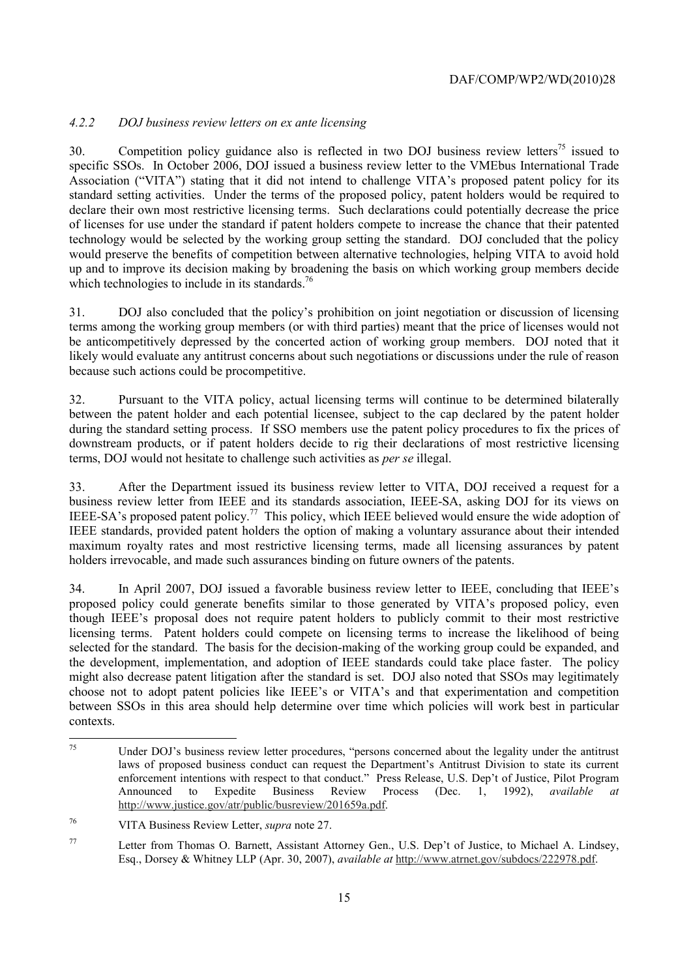# *4.2.2 DOJ business review letters on ex ante licensing*

 specific SSOs. In October 2006, DOJ issued a business review letter to the VMEbus International Trade which technologies to include in its standards.<sup>76</sup> 30. Competition policy guidance also is reflected in two DOJ business review letters<sup>75</sup> issued to Association ("VITA") stating that it did not intend to challenge VITA's proposed patent policy for its standard setting activities. Under the terms of the proposed policy, patent holders would be required to declare their own most restrictive licensing terms. Such declarations could potentially decrease the price of licenses for use under the standard if patent holders compete to increase the chance that their patented technology would be selected by the working group setting the standard. DOJ concluded that the policy would preserve the benefits of competition between alternative technologies, helping VITA to avoid hold up and to improve its decision making by broadening the basis on which working group members decide

31. DOJ also concluded that the policy's prohibition on joint negotiation or discussion of licensing terms among the working group members (or with third parties) meant that the price of licenses would not be anticompetitively depressed by the concerted action of working group members. DOJ noted that it likely would evaluate any antitrust concerns about such negotiations or discussions under the rule of reason because such actions could be procompetitive.

32. Pursuant to the VITA policy, actual licensing terms will continue to be determined bilaterally between the patent holder and each potential licensee, subject to the cap declared by the patent holder during the standard setting process. If SSO members use the patent policy procedures to fix the prices of downstream products, or if patent holders decide to rig their declarations of most restrictive licensing terms, DOJ would not hesitate to challenge such activities as *per se* illegal.

33. After the Department issued its business review letter to VITA, DOJ received a request for a business review letter from IEEE and its standards association, IEEE-SA, asking DOJ for its views on IEEE-SA's proposed patent policy.<sup>77</sup> This policy, which IEEE believed would ensure the wide adoption of IEEE standards, provided patent holders the option of making a voluntary assurance about their intended maximum royalty rates and most restrictive licensing terms, made all licensing assurances by patent holders irrevocable, and made such assurances binding on future owners of the patents.

34. In April 2007, DOJ issued a favorable business review letter to IEEE, concluding that IEEE's proposed policy could generate benefits similar to those generated by VITA's proposed policy, even though IEEE's proposal does not require patent holders to publicly commit to their most restrictive licensing terms. Patent holders could compete on licensing terms to increase the likelihood of being selected for the standard. The basis for the decision-making of the working group could be expanded, and the development, implementation, and adoption of IEEE standards could take place faster. The policy might also decrease patent litigation after the standard is set. DOJ also noted that SSOs may legitimately choose not to adopt patent policies like IEEE's or VITA's and that experimentation and competition between SSOs in this area should help determine over time which policies will work best in particular contexts.

l

Under DOJ's business review letter procedures, "persons concerned about the legality under the antitrust laws of proposed business conduct can request the Department's Antitrust Division to state its current enforcement intentions with respect to that conduct." Press Release, U.S. Dep't of Justice, Pilot Program Announced to Expedite Business Review Process (Dec. 1, 1992), *available at*  http://www.justice.gov/atr/public/busreview/201659a.pdf.

<sup>76</sup> 76 VITA Business Review Letter, *supra* note 27.

<sup>77</sup> Letter from Thomas O. Barnett, Assistant Attorney Gen., U.S. Dep't of Justice, to Michael A. Lindsey, Esq., Dorsey & Whitney LLP (Apr. 30, 2007), *available at* http://www.atrnet.gov/subdocs/222978.pdf.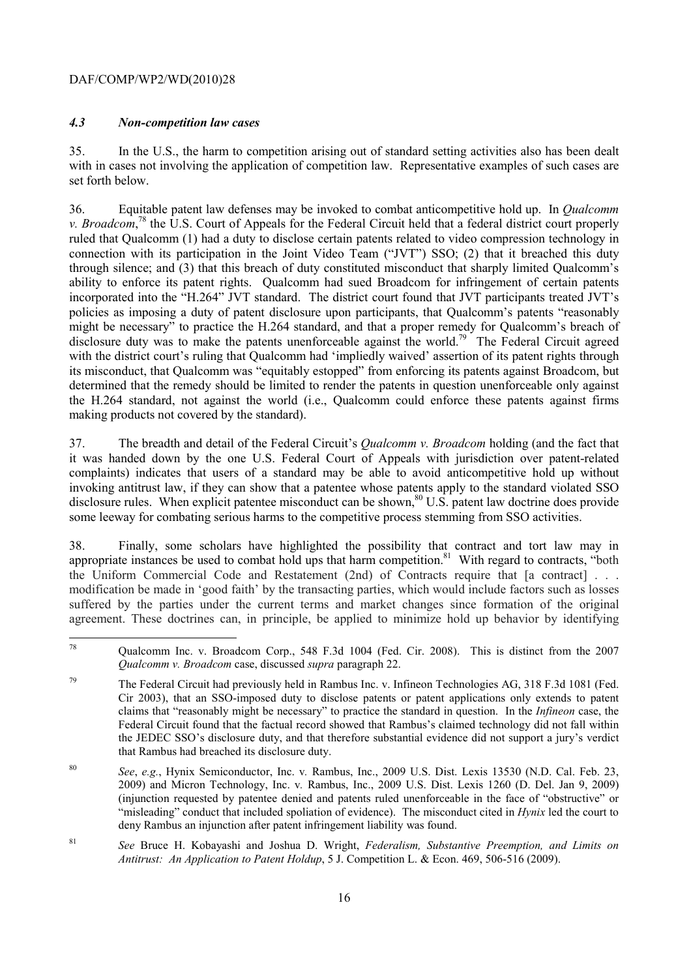## *4.3 Non-competition law cases*

35. In the U.S., the harm to competition arising out of standard setting activities also has been dealt with in cases not involving the application of competition law. Representative examples of such cases are set forth below.

 connection with its participation in the Joint Video Team ("JVT") SSO; (2) that it breached this duty 36. Equitable patent law defenses may be invoked to combat anticompetitive hold up. In *Qualcomm v. Broadcom*<sup>78</sup>, the U.S. Court of Appeals for the Federal Circuit held that a federal district court properly ruled that Qualcomm (1) had a duty to disclose certain patents related to video compression technology in through silence; and (3) that this breach of duty constituted misconduct that sharply limited Qualcomm's ability to enforce its patent rights. Qualcomm had sued Broadcom for infringement of certain patents incorporated into the "H.264" JVT standard. The district court found that JVT participants treated JVT's policies as imposing a duty of patent disclosure upon participants, that Qualcomm's patents "reasonably might be necessary" to practice the H.264 standard, and that a proper remedy for Qualcomm's breach of disclosure duty was to make the patents unenforceable against the world.<sup>79</sup> The Federal Circuit agreed with the district court's ruling that Qualcomm had 'impliedly waived' assertion of its patent rights through its misconduct, that Qualcomm was "equitably estopped" from enforcing its patents against Broadcom, but determined that the remedy should be limited to render the patents in question unenforceable only against the H.264 standard, not against the world (i.e., Qualcomm could enforce these patents against firms making products not covered by the standard).

37. The breadth and detail of the Federal Circuit's *Qualcomm v. Broadcom* holding (and the fact that it was handed down by the one U.S. Federal Court of Appeals with jurisdiction over patent-related complaints) indicates that users of a standard may be able to avoid anticompetitive hold up without invoking antitrust law, if they can show that a patentee whose patents apply to the standard violated SSO disclosure rules. When explicit patentee misconduct can be shown,<sup>80</sup> U.S. patent law doctrine does provide some leeway for combating serious harms to the competitive process stemming from SSO activities.

38. Finally, some scholars have highlighted the possibility that contract and tort law may in appropriate instances be used to combat hold ups that harm competition.<sup>81</sup> With regard to contracts, "both the Uniform Commercial Code and Restatement (2nd) of Contracts require that [a contract] . . . modification be made in 'good faith' by the transacting parties, which would include factors such as losses suffered by the parties under the current terms and market changes since formation of the original agreement. These doctrines can, in principle, be applied to minimize hold up behavior by identifying

 $78$ 78 Qualcomm Inc. v. Broadcom Corp., 548 F.3d 1004 (Fed. Cir. 2008). This is distinct from the 2007 *Qualcomm v. Broadcom* case, discussed *supra* paragraph 22.

 Federal Circuit found that the factual record showed that Rambus's claimed technology did not fall within the JEDEC SSO's disclosure duty, and that therefore substantial evidence did not support a jury's verdict <sup>79</sup> The Federal Circuit had previously held in Rambus Inc. v. Infineon Technologies AG, 318 F.3d 1081 (Fed. Cir 2003), that an SSO-imposed duty to disclose patents or patent applications only extends to patent claims that "reasonably might be necessary" to practice the standard in question. In the *Infineon* case, the that Rambus had breached its disclosure duty.

 deny Rambus an injunction after patent infringement liability was found. <sup>80</sup>*See*, *e.g.*, Hynix Semiconductor, Inc. v*.* Rambus, Inc., 2009 U.S. Dist. Lexis 13530 (N.D. Cal. Feb. 23, 2009) and Micron Technology, Inc. v*.* Rambus, Inc., 2009 U.S. Dist. Lexis 1260 (D. Del. Jan 9, 2009) (injunction requested by patentee denied and patents ruled unenforceable in the face of "obstructive" or "misleading" conduct that included spoliation of evidence). The misconduct cited in *Hynix* led the court to

*Antitrust: An Application to Patent Holdup*, 5 J. Competition L. & Econ. 469, 506-516 (2009).<br>
16 <sup>81</sup>*See* Bruce H. Kobayashi and Joshua D. Wright, *Federalism, Substantive Preemption, and Limits on*